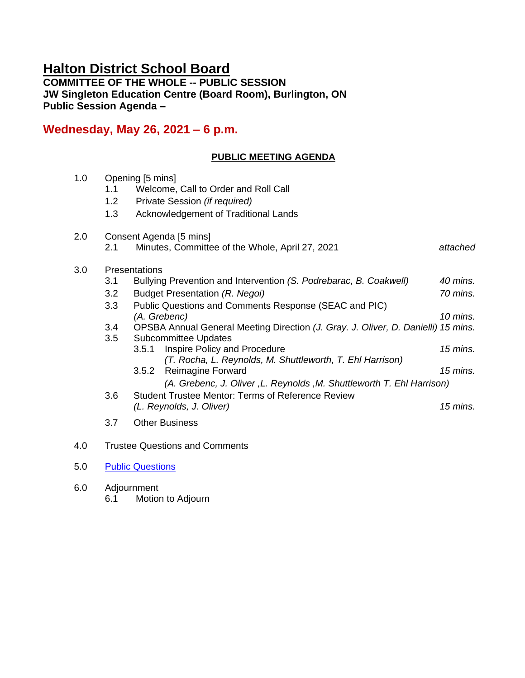# **Halton District School Board**

**COMMITTEE OF THE WHOLE -- PUBLIC SESSION JW Singleton Education Centre (Board Room), Burlington, ON Public Session Agenda –**

## **Wednesday, May 26, 2021 – 6 p.m.**

## **PUBLIC MEETING AGENDA**

| 1.0 | Opening [5 mins]<br>Welcome, Call to Order and Roll Call<br>1.1 |                                                                                                                  |            |  |  |
|-----|-----------------------------------------------------------------|------------------------------------------------------------------------------------------------------------------|------------|--|--|
|     | 1.2                                                             | Private Session (if required)                                                                                    |            |  |  |
|     | 1.3                                                             | Acknowledgement of Traditional Lands                                                                             |            |  |  |
| 2.0 | Consent Agenda [5 mins]                                         |                                                                                                                  |            |  |  |
|     | 2.1                                                             | Minutes, Committee of the Whole, April 27, 2021                                                                  | attached   |  |  |
| 3.0 | Presentations                                                   |                                                                                                                  |            |  |  |
|     | 3.1                                                             | Bullying Prevention and Intervention (S. Podrebarac, B. Coakwell)                                                | 40 mins.   |  |  |
|     | 3.2                                                             | Budget Presentation (R. Negoi)                                                                                   | 70 mins.   |  |  |
|     | 3.3                                                             | Public Questions and Comments Response (SEAC and PIC)                                                            |            |  |  |
|     |                                                                 | (A. Grebenc)                                                                                                     | $10$ mins. |  |  |
|     | 3.4<br>3.5                                                      | OPSBA Annual General Meeting Direction (J. Gray. J. Oliver, D. Danielli) 15 mins.<br><b>Subcommittee Updates</b> |            |  |  |
|     |                                                                 | Inspire Policy and Procedure<br>3.5.1                                                                            | 15 mins.   |  |  |
|     |                                                                 | (T. Rocha, L. Reynolds, M. Shuttleworth, T. Ehl Harrison)                                                        |            |  |  |
|     |                                                                 | Reimagine Forward<br>3.5.2                                                                                       | 15 mins.   |  |  |
|     |                                                                 | (A. Grebenc, J. Oliver, L. Reynolds, M. Shuttleworth T. Ehl Harrison)                                            |            |  |  |
|     | 3.6                                                             | <b>Student Trustee Mentor: Terms of Reference Review</b>                                                         |            |  |  |
|     |                                                                 | (L. Reynolds, J. Oliver)                                                                                         | $15$ mins. |  |  |
|     | 3.7                                                             | <b>Other Business</b>                                                                                            |            |  |  |
| 4.0 |                                                                 | <b>Trustee Questions and Comments</b>                                                                            |            |  |  |

- 5.0 [Public Questions](https://forms.gle/qS29GSpbBXENBqkJ8)
- 6.0 Adjournment 6.1 Motion to Adjourn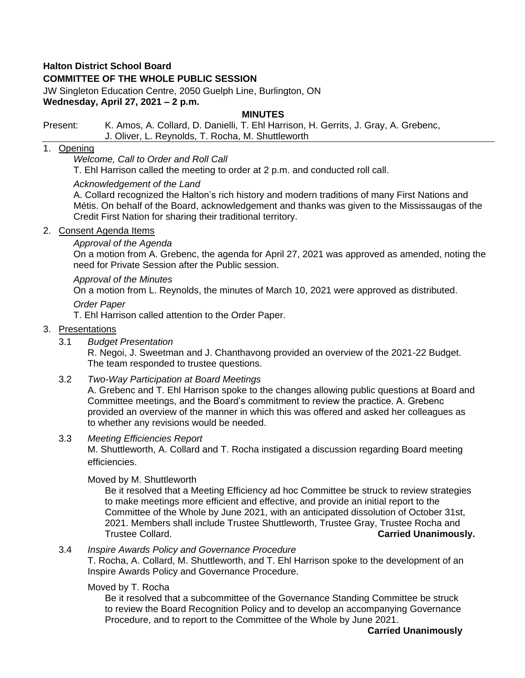## **Halton District School Board**

## **COMMITTEE OF THE WHOLE PUBLIC SESSION**

JW Singleton Education Centre, 2050 Guelph Line, Burlington, ON **Wednesday, April 27, 2021 – 2 p.m.**

#### **MINUTES**

#### Present: K. Amos, A. Collard, D. Danielli, T. Ehl Harrison, H. Gerrits, J. Gray, A. Grebenc, J. Oliver, L. Reynolds, T. Rocha, M. Shuttleworth

#### 1. Opening

*Welcome, Call to Order and Roll Call*

T. Ehl Harrison called the meeting to order at 2 p.m. and conducted roll call.

#### *Acknowledgement of the Land*

A. Collard recognized the Halton's rich history and modern traditions of many First Nations and Métis. On behalf of the Board, acknowledgement and thanks was given to the Mississaugas of the Credit First Nation for sharing their traditional territory.

#### 2. Consent Agenda Items

#### *Approval of the Agenda*

On a motion from A. Grebenc, the agenda for April 27, 2021 was approved as amended, noting the need for Private Session after the Public session.

#### *Approval of the Minutes*

On a motion from L. Reynolds, the minutes of March 10, 2021 were approved as distributed.

#### *Order Paper*

T. Ehl Harrison called attention to the Order Paper.

#### 3. Presentations

3.1 *Budget Presentation*

R. Negoi, J. Sweetman and J. Chanthavong provided an overview of the 2021-22 Budget. The team responded to trustee questions.

## 3.2 *Two-Way Participation at Board Meetings*

A. Grebenc and T. Ehl Harrison spoke to the changes allowing public questions at Board and Committee meetings, and the Board's commitment to review the practice. A. Grebenc provided an overview of the manner in which this was offered and asked her colleagues as to whether any revisions would be needed.

#### 3.3 *Meeting Efficiencies Report*

M. Shuttleworth, A. Collard and T. Rocha instigated a discussion regarding Board meeting efficiencies.

#### Moved by M. Shuttleworth

Be it resolved that a Meeting Efficiency ad hoc Committee be struck to review strategies to make meetings more efficient and effective, and provide an initial report to the Committee of the Whole by June 2021, with an anticipated dissolution of October 31st, 2021. Members shall include Trustee Shuttleworth, Trustee Gray, Trustee Rocha and Trustee Collard. **Carried Unanimously.**

#### 3.4 *Inspire Awards Policy and Governance Procedure*

T. Rocha, A. Collard, M. Shuttleworth, and T. Ehl Harrison spoke to the development of an Inspire Awards Policy and Governance Procedure.

#### Moved by T. Rocha

Be it resolved that a subcommittee of the Governance Standing Committee be struck to review the Board Recognition Policy and to develop an accompanying Governance Procedure, and to report to the Committee of the Whole by June 2021.